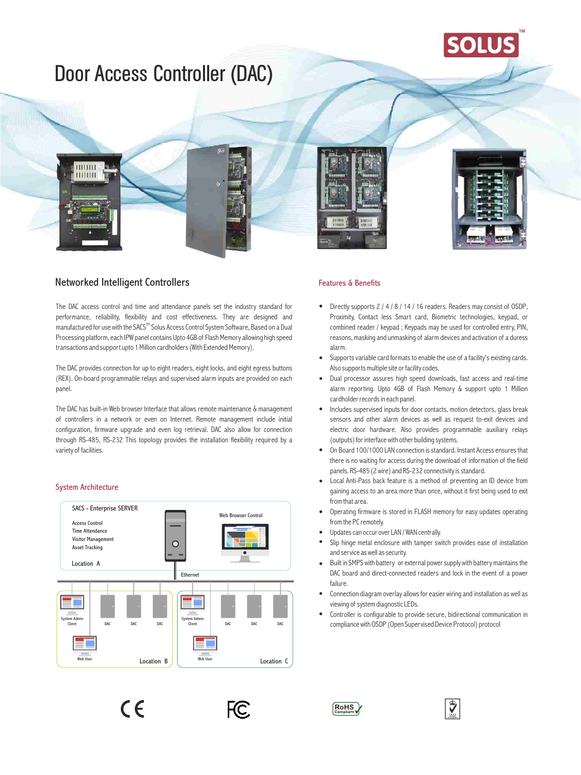# Door Access Controller (DAC)

## Networked Intelligent Controllers

 $\begin{array}{c} 0111111 \\ 1111111 \end{array}$ 

The DAC access control and time and attendance panels set the industry standard for performance, reliability, flexibility and cost effectiveness. They are designed and manufactured for use with the SACS™ Solus Access Control System Software, Based on a Dual Processing platform, each IPW panel contains Upto 4GB of Flash Memory allowing high speed transactions and support upto 1 Million cardholders (With Extended Memory).

The DAC provides connection for up to eight readers, eight locks, and eight egress buttons (REX). On-board programmable relays and supervised alarm inputs are provided on each panel.

The DAC has built-in Web browser Interface that allows remote maintenance & management of controllers in a network or even on Internet. Remote management include initial configuration, firmware upgrade and even log retrieval. DAC also allow for connection through RS-485, RS-232 This topology provides the installation flexibility required by a variety of facilities.

#### System Architecture







**TM**

#### Features & Benefits

- Directly supports 2 / 4 / 8 / 14 / 16 readers. Readers may consist of OSDP, Proximity, Contact less Smart card, Biometric technologies, keypad, or combined reader / keypad ; Keypads may be used for controlled entry, PIN, reasons, masking and unmasking of alarm devices and activation of a duress alarm.
- Supports variable card formats to enable the use of a facility's existing cards. Also supports multiple site or facility codes.
- Dual processor assures high speed downloads, fast access and real-time alarm reporting. Upto 4GB of Flash Memory & support upto 1 Million cardholder records in each panel.
- Includes supervised inputs for door contacts, motion detectors, glass break sensors and other alarm devices as well as request to-exit devices and electric door hardware. Also provides programmable auxiliary relays (outputs) for interface with other building systems.
- On Board 100/1000 LAN connection is standard. Instant Access ensures that there is no waiting for access during the download of information of the field panels. RS-485 (2 wire) and RS-232 connectivity is standard.
- Local Anti-Pass back feature is a method of preventing an ID device from gaining access to an area more than once, without it first being used to exit from that area.
- Operating firmware is stored in FLASH memory for easy updates operating from the PC remotely.
- Updates can occur over LAN / WAN centrally.
- Slip hinge metal enclosure with tamper switch provides ease of installation and service as well as security.
- Built in SMPS with battery or external power supply with battery maintains the DAC board and direct-connected readers and lock in the event of a power failure.
- Connection diagram overlay allows for easier wiring and installation as well as viewing of system diagnostic LEDs.
- Controller is configurable to provide secure, bidirectional communication in compliance with OSDP (Open Supervised Device Protocol) protocol